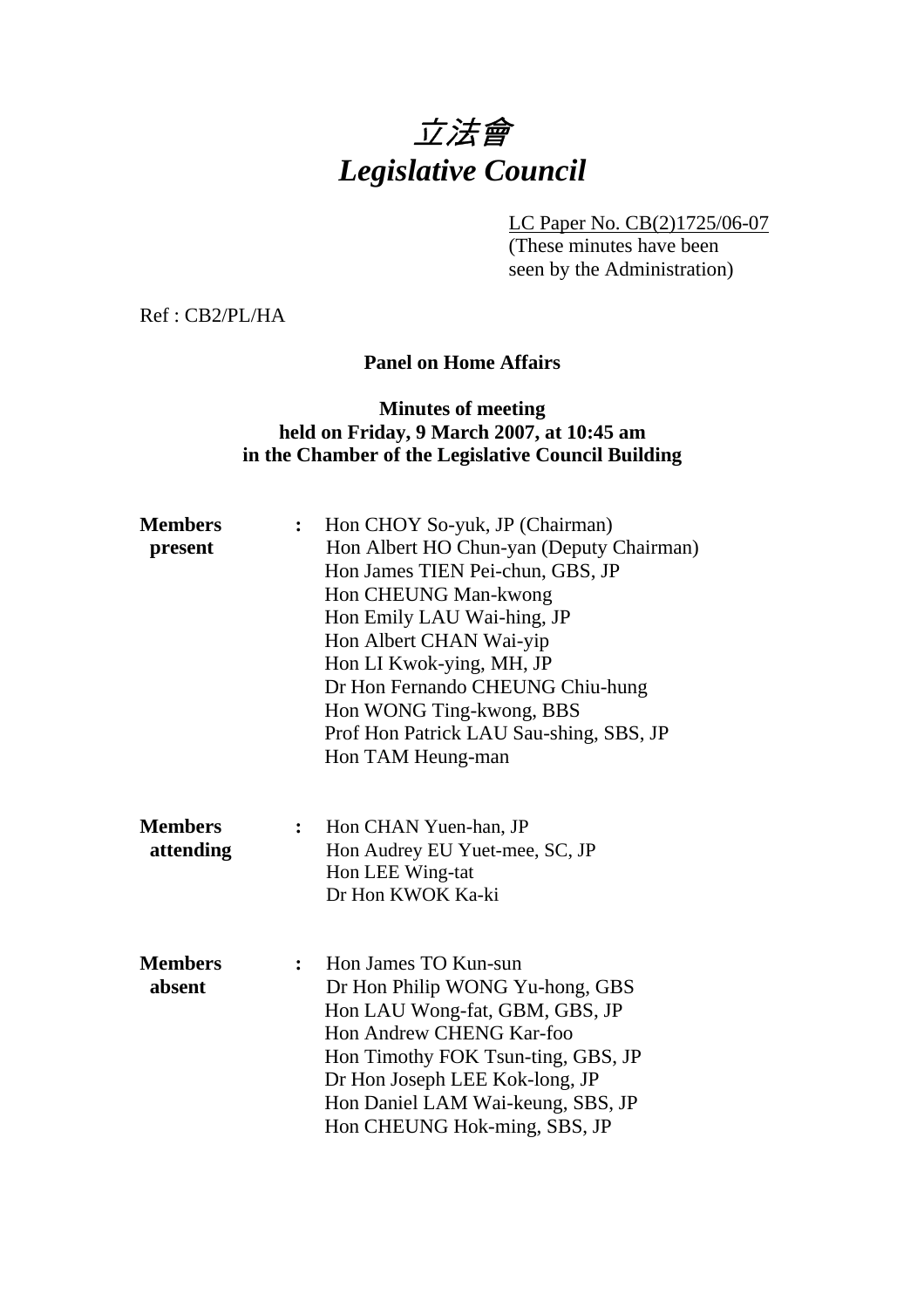# 立法會 *Legislative Council*

LC Paper No. CB(2)1725/06-07

(These minutes have been seen by the Administration)

Ref : CB2/PL/HA

## **Panel on Home Affairs**

## **Minutes of meeting held on Friday, 9 March 2007, at 10:45 am in the Chamber of the Legislative Council Building**

| Hon Albert HO Chun-yan (Deputy Chairman) |
|------------------------------------------|
|                                          |
|                                          |
|                                          |
|                                          |
|                                          |
|                                          |
|                                          |
|                                          |
|                                          |
|                                          |
|                                          |
|                                          |
|                                          |
|                                          |
|                                          |
|                                          |
|                                          |
|                                          |
|                                          |
|                                          |
|                                          |
|                                          |
|                                          |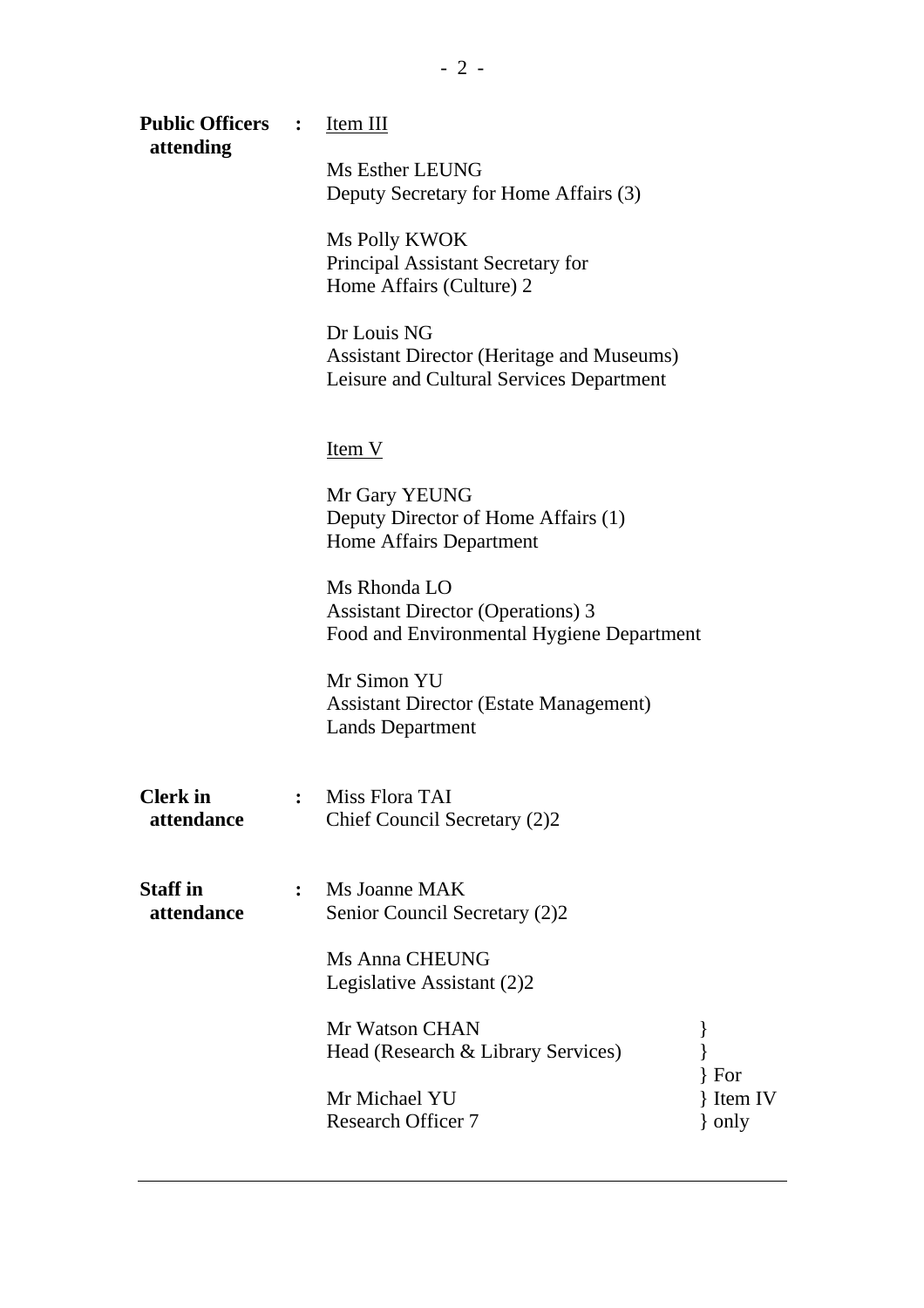| <b>Public Officers :</b><br>attending |                | <u>Item III</u>                                                                                             |                        |
|---------------------------------------|----------------|-------------------------------------------------------------------------------------------------------------|------------------------|
|                                       |                | Ms Esther LEUNG<br>Deputy Secretary for Home Affairs (3)                                                    |                        |
|                                       |                | Ms Polly KWOK<br>Principal Assistant Secretary for<br>Home Affairs (Culture) 2                              |                        |
|                                       |                | Dr Louis NG<br><b>Assistant Director (Heritage and Museums)</b><br>Leisure and Cultural Services Department |                        |
|                                       |                | <u>Item V</u>                                                                                               |                        |
|                                       |                | Mr Gary YEUNG<br>Deputy Director of Home Affairs (1)<br><b>Home Affairs Department</b>                      |                        |
|                                       |                | Ms Rhonda LO<br><b>Assistant Director (Operations) 3</b><br>Food and Environmental Hygiene Department       |                        |
|                                       |                | Mr Simon YU<br><b>Assistant Director (Estate Management)</b><br><b>Lands Department</b>                     |                        |
| <b>Clerk</b> in<br>attendance         |                | : Miss Flora TAI<br>Chief Council Secretary (2)2                                                            |                        |
| <b>Staff</b> in<br>attendance         | $\ddot{\cdot}$ | Ms Joanne MAK<br>Senior Council Secretary (2)2                                                              |                        |
|                                       |                | Ms Anna CHEUNG<br>Legislative Assistant (2)2                                                                |                        |
|                                       |                | Mr Watson CHAN<br>Head (Research & Library Services)                                                        | $\}$ For               |
|                                       |                | Mr Michael YU<br><b>Research Officer 7</b>                                                                  | { Item IV<br>$\}$ only |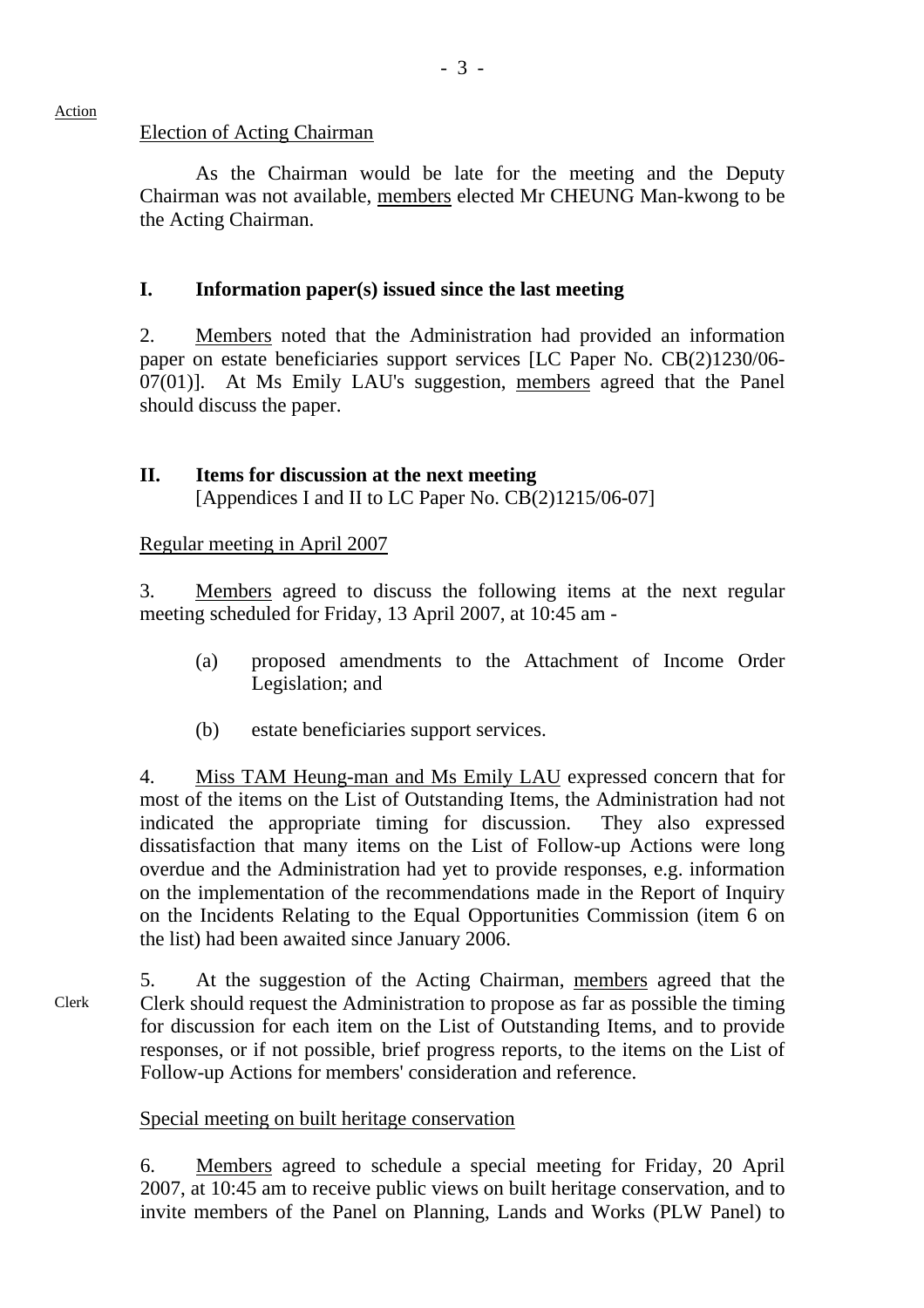#### Election of Acting Chairman

As the Chairman would be late for the meeting and the Deputy Chairman was not available, members elected Mr CHEUNG Man-kwong to be the Acting Chairman.

#### **I. Information paper(s) issued since the last meeting**

2. Members noted that the Administration had provided an information paper on estate beneficiaries support services [LC Paper No. CB(2)1230/06- 07(01)]. At Ms Emily LAU's suggestion, members agreed that the Panel should discuss the paper.

#### **II. Items for discussion at the next meeting**

[Appendices I and II to LC Paper No. CB(2)1215/06-07]

Regular meeting in April 2007

3. Members agreed to discuss the following items at the next regular meeting scheduled for Friday, 13 April 2007, at 10:45 am -

- (a) proposed amendments to the Attachment of Income Order Legislation; and
- (b) estate beneficiaries support services.

4. Miss TAM Heung-man and Ms Emily LAU expressed concern that for most of the items on the List of Outstanding Items, the Administration had not indicated the appropriate timing for discussion. They also expressed dissatisfaction that many items on the List of Follow-up Actions were long overdue and the Administration had yet to provide responses, e.g. information on the implementation of the recommendations made in the Report of Inquiry on the Incidents Relating to the Equal Opportunities Commission (item 6 on the list) had been awaited since January 2006.

Clerk 5. At the suggestion of the Acting Chairman, members agreed that the Clerk should request the Administration to propose as far as possible the timing for discussion for each item on the List of Outstanding Items, and to provide responses, or if not possible, brief progress reports, to the items on the List of Follow-up Actions for members' consideration and reference.

#### Special meeting on built heritage conservation

6. Members agreed to schedule a special meeting for Friday, 20 April 2007, at 10:45 am to receive public views on built heritage conservation, and to invite members of the Panel on Planning, Lands and Works (PLW Panel) to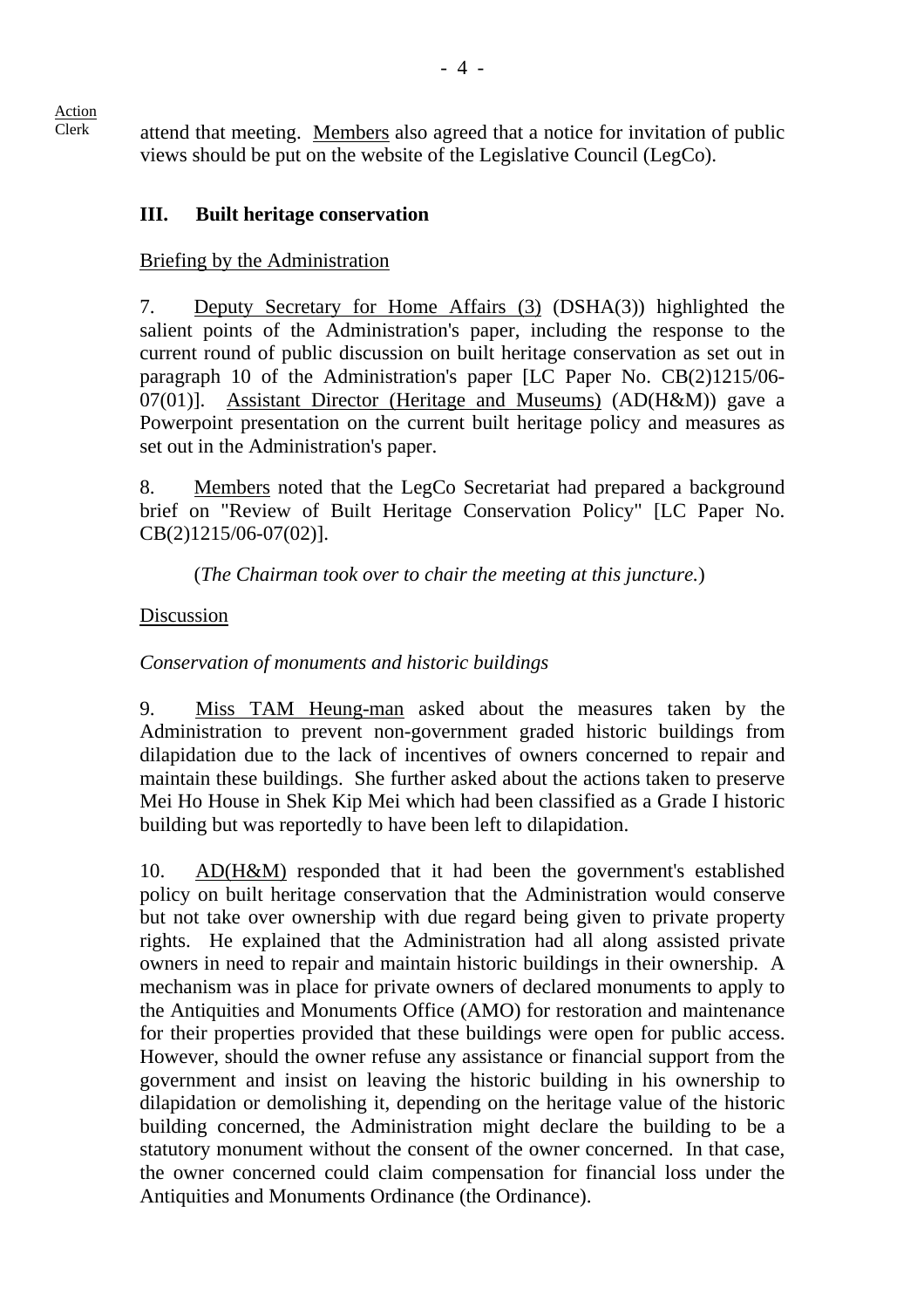Clerk attend that meeting. Members also agreed that a notice for invitation of public views should be put on the website of the Legislative Council (LegCo).

## **III. Built heritage conservation**

## Briefing by the Administration

7. Deputy Secretary for Home Affairs (3) (DSHA(3)) highlighted the salient points of the Administration's paper, including the response to the current round of public discussion on built heritage conservation as set out in paragraph 10 of the Administration's paper [LC Paper No. CB(2)1215/06- 07(01)]. Assistant Director (Heritage and Museums) (AD(H&M)) gave a Powerpoint presentation on the current built heritage policy and measures as set out in the Administration's paper.

8. Members noted that the LegCo Secretariat had prepared a background brief on "Review of Built Heritage Conservation Policy" [LC Paper No. CB(2)1215/06-07(02)].

(*The Chairman took over to chair the meeting at this juncture.*)

## Discussion

## *Conservation of monuments and historic buildings*

9. Miss TAM Heung-man asked about the measures taken by the Administration to prevent non-government graded historic buildings from dilapidation due to the lack of incentives of owners concerned to repair and maintain these buildings. She further asked about the actions taken to preserve Mei Ho House in Shek Kip Mei which had been classified as a Grade I historic building but was reportedly to have been left to dilapidation.

10. AD(H&M) responded that it had been the government's established policy on built heritage conservation that the Administration would conserve but not take over ownership with due regard being given to private property rights. He explained that the Administration had all along assisted private owners in need to repair and maintain historic buildings in their ownership. A mechanism was in place for private owners of declared monuments to apply to the Antiquities and Monuments Office (AMO) for restoration and maintenance for their properties provided that these buildings were open for public access. However, should the owner refuse any assistance or financial support from the government and insist on leaving the historic building in his ownership to dilapidation or demolishing it, depending on the heritage value of the historic building concerned, the Administration might declare the building to be a statutory monument without the consent of the owner concerned. In that case, the owner concerned could claim compensation for financial loss under the Antiquities and Monuments Ordinance (the Ordinance).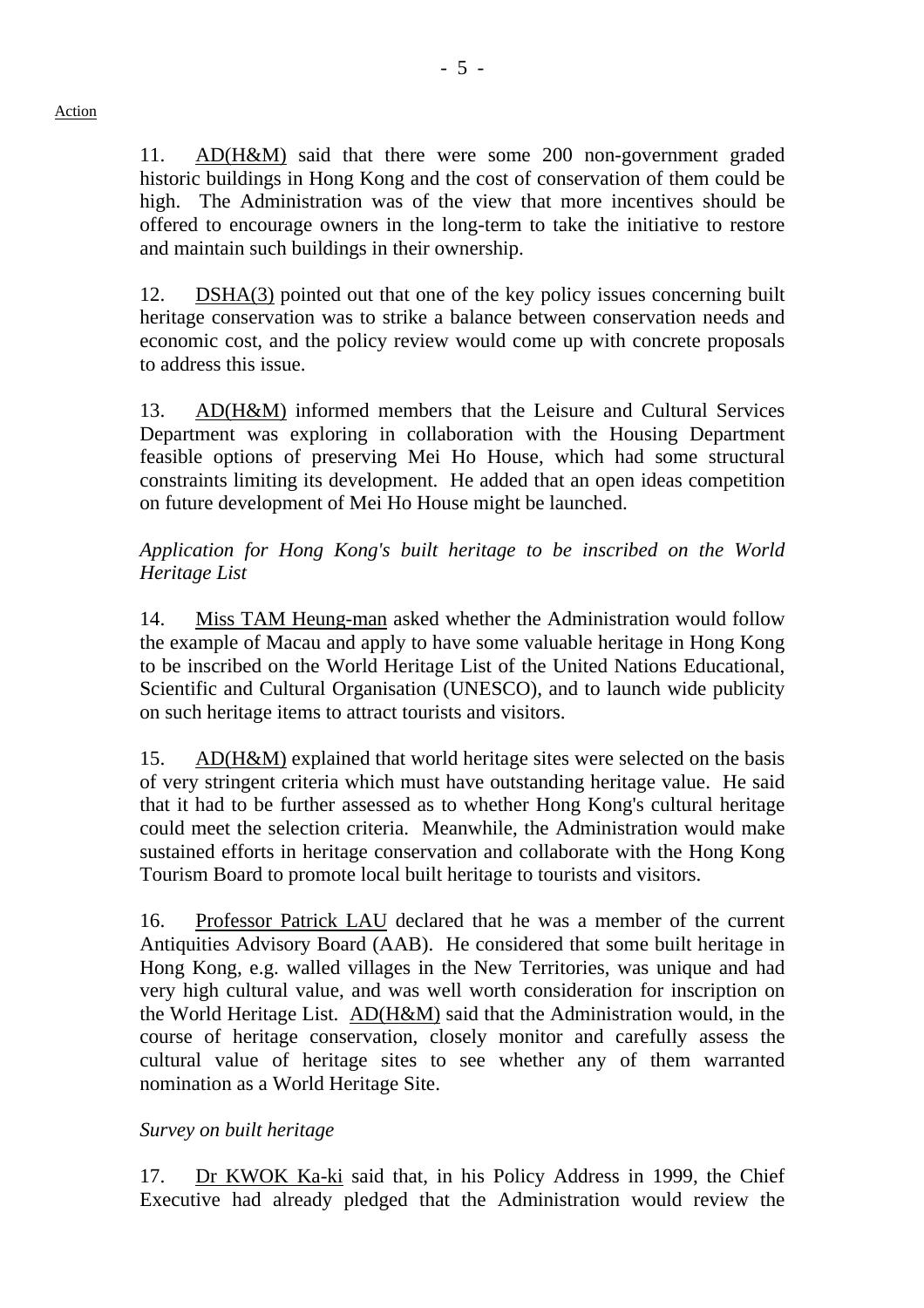11. AD(H&M) said that there were some 200 non-government graded historic buildings in Hong Kong and the cost of conservation of them could be high. The Administration was of the view that more incentives should be offered to encourage owners in the long-term to take the initiative to restore and maintain such buildings in their ownership.

12. DSHA(3) pointed out that one of the key policy issues concerning built heritage conservation was to strike a balance between conservation needs and economic cost, and the policy review would come up with concrete proposals to address this issue.

13. AD(H&M) informed members that the Leisure and Cultural Services Department was exploring in collaboration with the Housing Department feasible options of preserving Mei Ho House, which had some structural constraints limiting its development. He added that an open ideas competition on future development of Mei Ho House might be launched.

## *Application for Hong Kong's built heritage to be inscribed on the World Heritage List*

14. Miss TAM Heung-man asked whether the Administration would follow the example of Macau and apply to have some valuable heritage in Hong Kong to be inscribed on the World Heritage List of the United Nations Educational, Scientific and Cultural Organisation (UNESCO), and to launch wide publicity on such heritage items to attract tourists and visitors.

15. AD(H&M) explained that world heritage sites were selected on the basis of very stringent criteria which must have outstanding heritage value. He said that it had to be further assessed as to whether Hong Kong's cultural heritage could meet the selection criteria. Meanwhile, the Administration would make sustained efforts in heritage conservation and collaborate with the Hong Kong Tourism Board to promote local built heritage to tourists and visitors.

16. Professor Patrick LAU declared that he was a member of the current Antiquities Advisory Board (AAB). He considered that some built heritage in Hong Kong, e.g. walled villages in the New Territories, was unique and had very high cultural value, and was well worth consideration for inscription on the World Heritage List. AD(H&M) said that the Administration would, in the course of heritage conservation, closely monitor and carefully assess the cultural value of heritage sites to see whether any of them warranted nomination as a World Heritage Site.

## *Survey on built heritage*

17. Dr KWOK Ka-ki said that, in his Policy Address in 1999, the Chief Executive had already pledged that the Administration would review the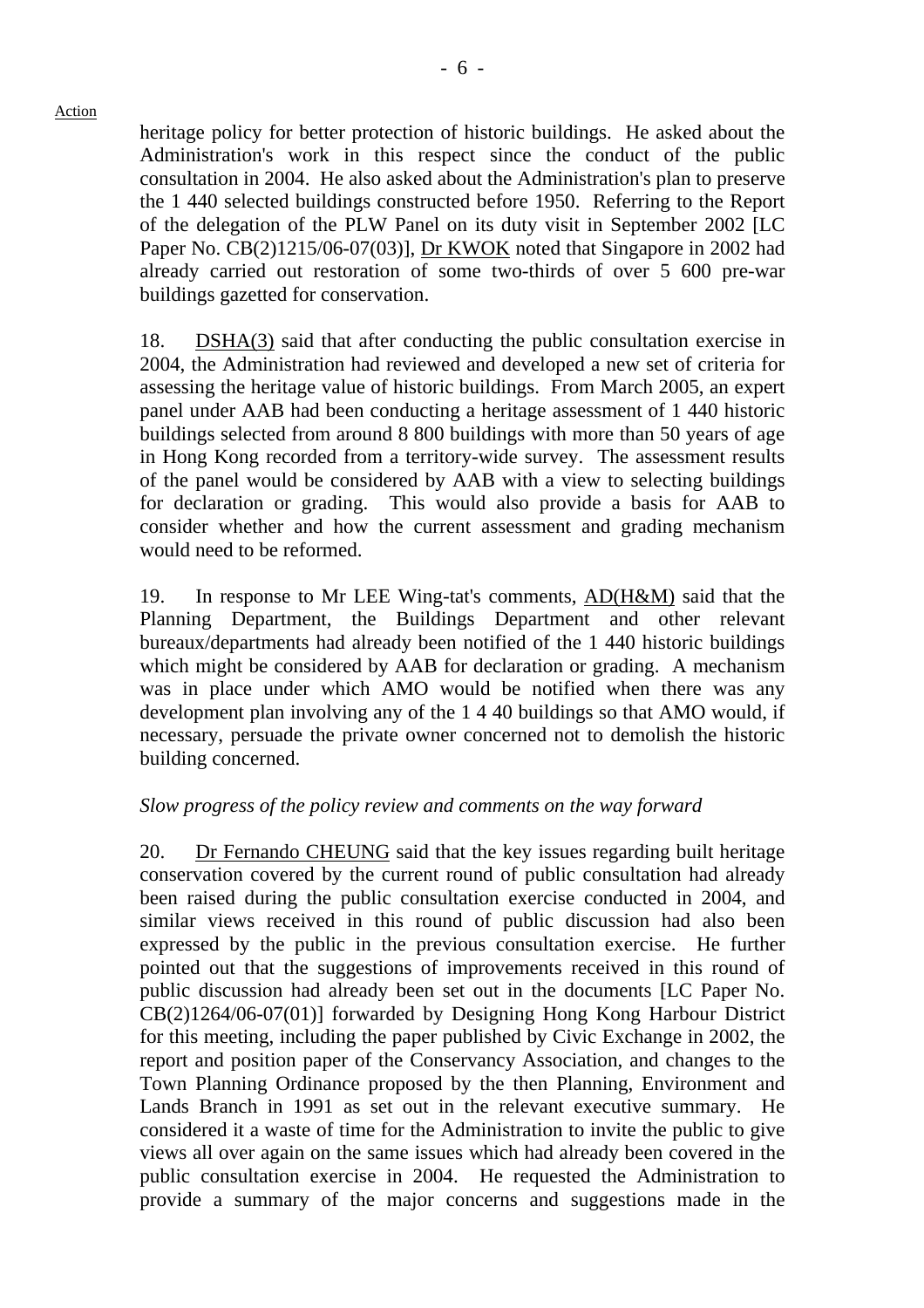heritage policy for better protection of historic buildings. He asked about the Administration's work in this respect since the conduct of the public consultation in 2004. He also asked about the Administration's plan to preserve the 1 440 selected buildings constructed before 1950. Referring to the Report of the delegation of the PLW Panel on its duty visit in September 2002 [LC Paper No. CB(2)1215/06-07(03)], Dr KWOK noted that Singapore in 2002 had already carried out restoration of some two-thirds of over 5 600 pre-war buildings gazetted for conservation.

18. DSHA(3) said that after conducting the public consultation exercise in 2004, the Administration had reviewed and developed a new set of criteria for assessing the heritage value of historic buildings. From March 2005, an expert panel under AAB had been conducting a heritage assessment of 1 440 historic buildings selected from around 8 800 buildings with more than 50 years of age in Hong Kong recorded from a territory-wide survey. The assessment results of the panel would be considered by AAB with a view to selecting buildings for declaration or grading. This would also provide a basis for AAB to consider whether and how the current assessment and grading mechanism would need to be reformed.

19. In response to Mr LEE Wing-tat's comments, AD(H&M) said that the Planning Department, the Buildings Department and other relevant bureaux/departments had already been notified of the 1 440 historic buildings which might be considered by AAB for declaration or grading. A mechanism was in place under which AMO would be notified when there was any development plan involving any of the 1 4 40 buildings so that AMO would, if necessary, persuade the private owner concerned not to demolish the historic building concerned.

## *Slow progress of the policy review and comments on the way forward*

20. Dr Fernando CHEUNG said that the key issues regarding built heritage conservation covered by the current round of public consultation had already been raised during the public consultation exercise conducted in 2004, and similar views received in this round of public discussion had also been expressed by the public in the previous consultation exercise. He further pointed out that the suggestions of improvements received in this round of public discussion had already been set out in the documents [LC Paper No. CB(2)1264/06-07(01)] forwarded by Designing Hong Kong Harbour District for this meeting, including the paper published by Civic Exchange in 2002, the report and position paper of the Conservancy Association, and changes to the Town Planning Ordinance proposed by the then Planning, Environment and Lands Branch in 1991 as set out in the relevant executive summary. He considered it a waste of time for the Administration to invite the public to give views all over again on the same issues which had already been covered in the public consultation exercise in 2004. He requested the Administration to provide a summary of the major concerns and suggestions made in the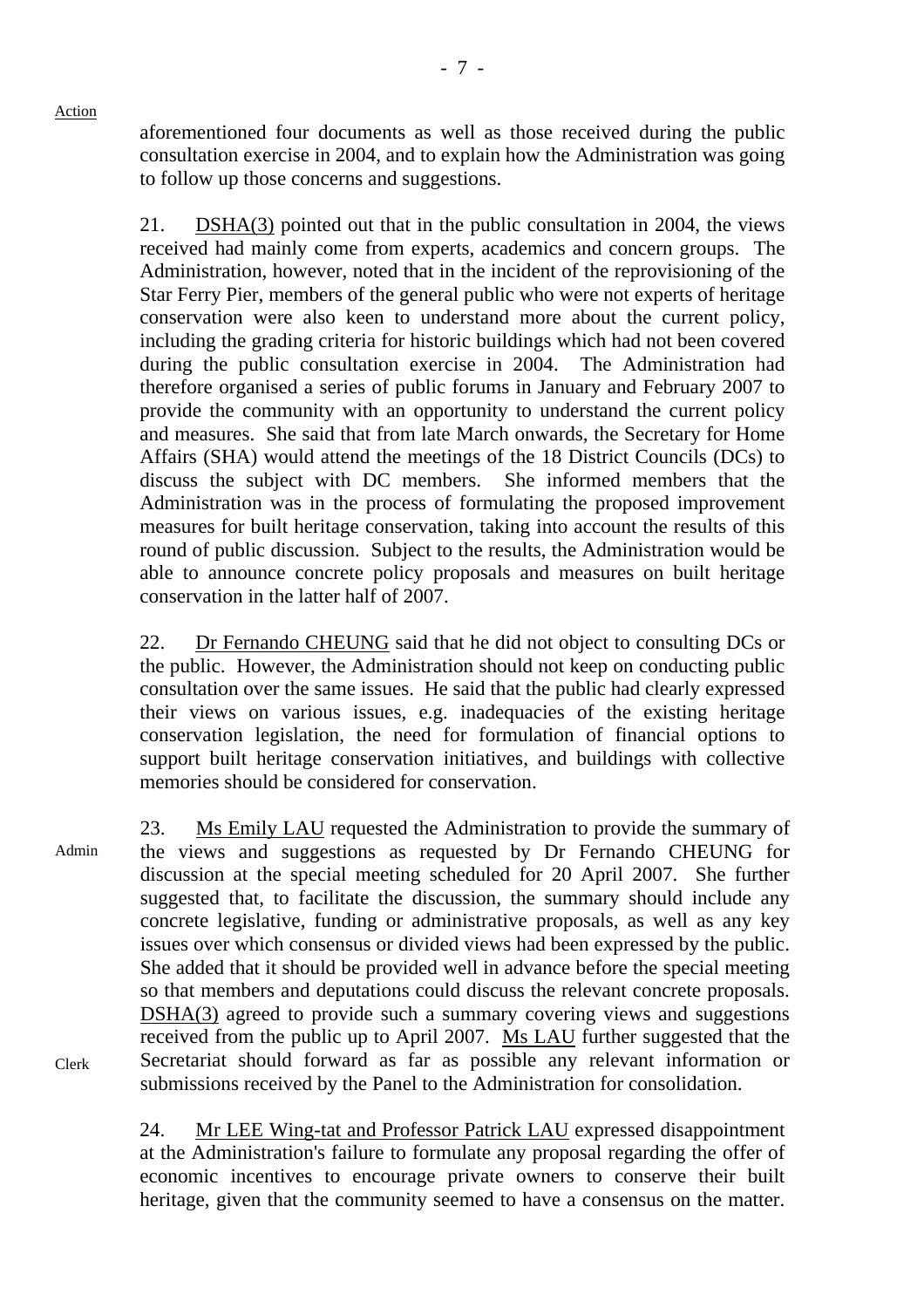aforementioned four documents as well as those received during the public consultation exercise in 2004, and to explain how the Administration was going to follow up those concerns and suggestions.

21. DSHA(3) pointed out that in the public consultation in 2004, the views received had mainly come from experts, academics and concern groups. The Administration, however, noted that in the incident of the reprovisioning of the Star Ferry Pier, members of the general public who were not experts of heritage conservation were also keen to understand more about the current policy, including the grading criteria for historic buildings which had not been covered during the public consultation exercise in 2004. The Administration had therefore organised a series of public forums in January and February 2007 to provide the community with an opportunity to understand the current policy and measures. She said that from late March onwards, the Secretary for Home Affairs (SHA) would attend the meetings of the 18 District Councils (DCs) to discuss the subject with DC members. She informed members that the Administration was in the process of formulating the proposed improvement measures for built heritage conservation, taking into account the results of this round of public discussion. Subject to the results, the Administration would be able to announce concrete policy proposals and measures on built heritage conservation in the latter half of 2007.

22. Dr Fernando CHEUNG said that he did not object to consulting DCs or the public. However, the Administration should not keep on conducting public consultation over the same issues. He said that the public had clearly expressed their views on various issues, e.g. inadequacies of the existing heritage conservation legislation, the need for formulation of financial options to support built heritage conservation initiatives, and buildings with collective memories should be considered for conservation.

Admin 23. Ms Emily LAU requested the Administration to provide the summary of the views and suggestions as requested by Dr Fernando CHEUNG for discussion at the special meeting scheduled for 20 April 2007. She further suggested that, to facilitate the discussion, the summary should include any concrete legislative, funding or administrative proposals, as well as any key issues over which consensus or divided views had been expressed by the public. She added that it should be provided well in advance before the special meeting so that members and deputations could discuss the relevant concrete proposals. DSHA(3) agreed to provide such a summary covering views and suggestions received from the public up to April 2007. Ms LAU further suggested that the Secretariat should forward as far as possible any relevant information or submissions received by the Panel to the Administration for consolidation.

Clerk

24. Mr LEE Wing-tat and Professor Patrick LAU expressed disappointment at the Administration's failure to formulate any proposal regarding the offer of economic incentives to encourage private owners to conserve their built heritage, given that the community seemed to have a consensus on the matter.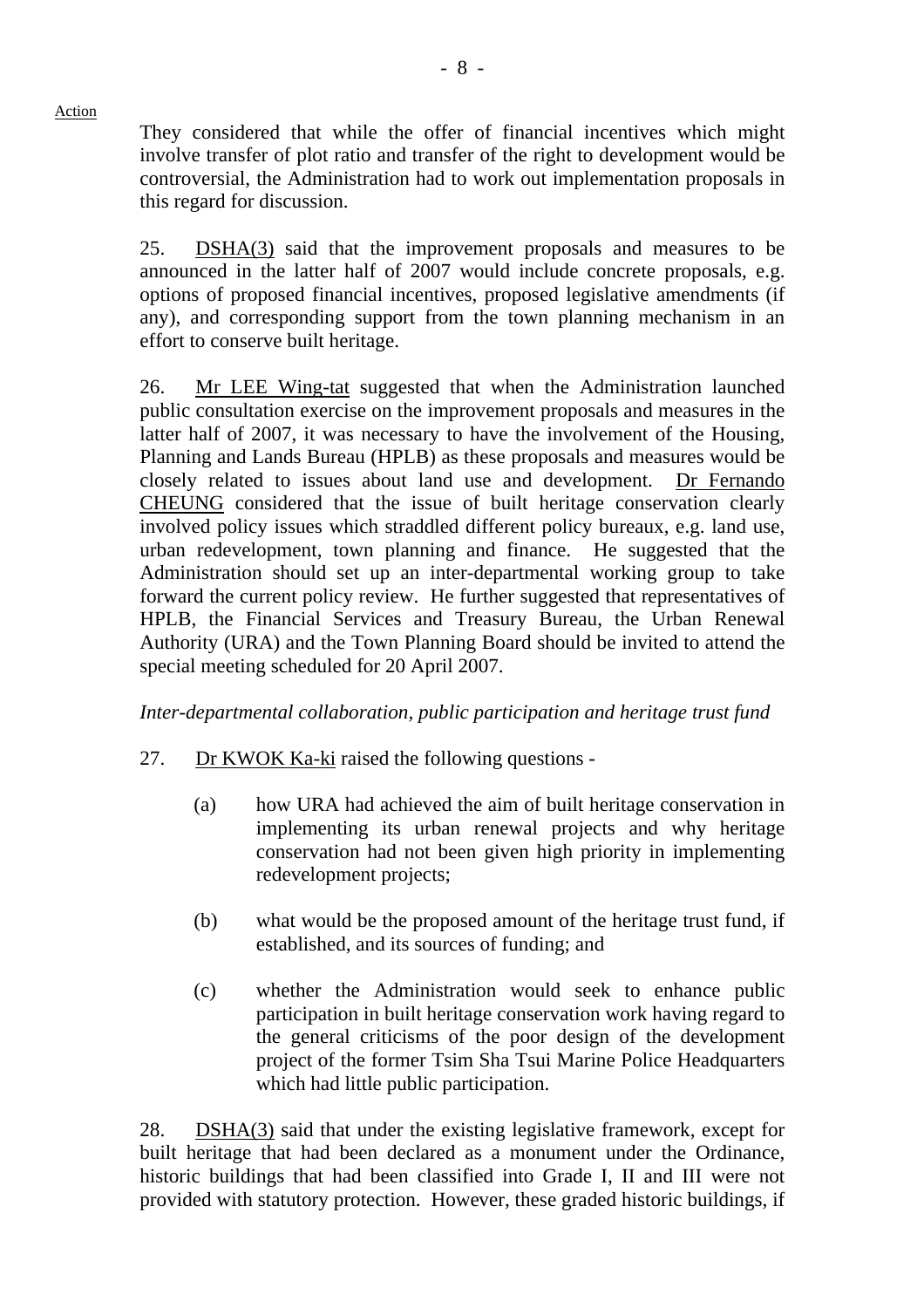They considered that while the offer of financial incentives which might involve transfer of plot ratio and transfer of the right to development would be controversial, the Administration had to work out implementation proposals in this regard for discussion.

25. DSHA(3) said that the improvement proposals and measures to be announced in the latter half of 2007 would include concrete proposals, e.g. options of proposed financial incentives, proposed legislative amendments (if any), and corresponding support from the town planning mechanism in an effort to conserve built heritage.

26. Mr LEE Wing-tat suggested that when the Administration launched public consultation exercise on the improvement proposals and measures in the latter half of 2007, it was necessary to have the involvement of the Housing, Planning and Lands Bureau (HPLB) as these proposals and measures would be closely related to issues about land use and development. Dr Fernando CHEUNG considered that the issue of built heritage conservation clearly involved policy issues which straddled different policy bureaux, e.g. land use, urban redevelopment, town planning and finance. He suggested that the Administration should set up an inter-departmental working group to take forward the current policy review. He further suggested that representatives of HPLB, the Financial Services and Treasury Bureau, the Urban Renewal Authority (URA) and the Town Planning Board should be invited to attend the special meeting scheduled for 20 April 2007.

*Inter-departmental collaboration, public participation and heritage trust fund* 

- 27. Dr KWOK Ka-ki raised the following questions
	- (a) how URA had achieved the aim of built heritage conservation in implementing its urban renewal projects and why heritage conservation had not been given high priority in implementing redevelopment projects;
	- (b) what would be the proposed amount of the heritage trust fund, if established, and its sources of funding; and
	- (c) whether the Administration would seek to enhance public participation in built heritage conservation work having regard to the general criticisms of the poor design of the development project of the former Tsim Sha Tsui Marine Police Headquarters which had little public participation.

28. DSHA(3) said that under the existing legislative framework, except for built heritage that had been declared as a monument under the Ordinance, historic buildings that had been classified into Grade I, II and III were not provided with statutory protection. However, these graded historic buildings, if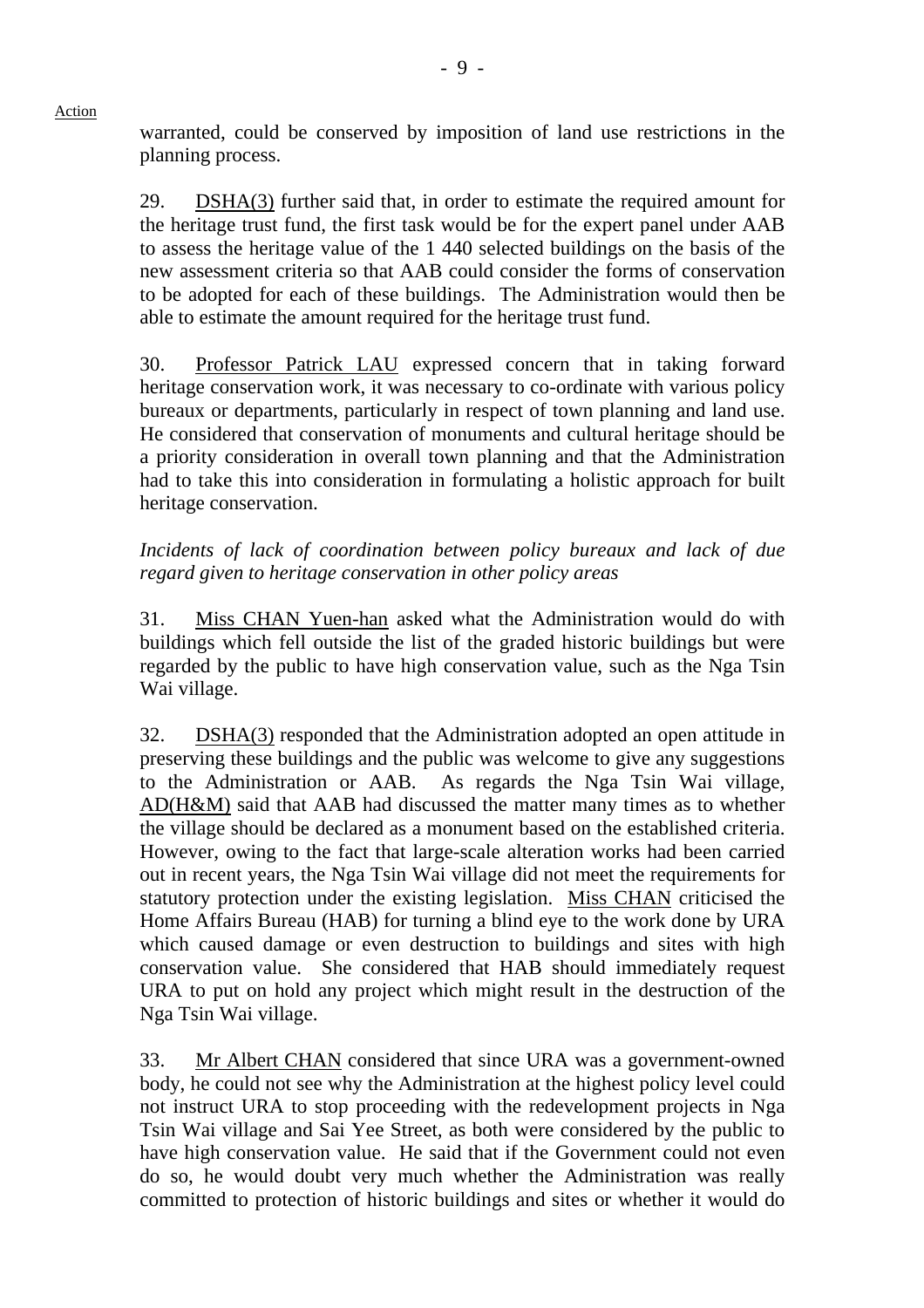warranted, could be conserved by imposition of land use restrictions in the planning process.

29. DSHA(3) further said that, in order to estimate the required amount for the heritage trust fund, the first task would be for the expert panel under AAB to assess the heritage value of the 1 440 selected buildings on the basis of the new assessment criteria so that AAB could consider the forms of conservation to be adopted for each of these buildings. The Administration would then be able to estimate the amount required for the heritage trust fund.

30. Professor Patrick LAU expressed concern that in taking forward heritage conservation work, it was necessary to co-ordinate with various policy bureaux or departments, particularly in respect of town planning and land use. He considered that conservation of monuments and cultural heritage should be a priority consideration in overall town planning and that the Administration had to take this into consideration in formulating a holistic approach for built heritage conservation.

## *Incidents of lack of coordination between policy bureaux and lack of due regard given to heritage conservation in other policy areas*

31. Miss CHAN Yuen-han asked what the Administration would do with buildings which fell outside the list of the graded historic buildings but were regarded by the public to have high conservation value, such as the Nga Tsin Wai village.

32. DSHA(3) responded that the Administration adopted an open attitude in preserving these buildings and the public was welcome to give any suggestions to the Administration or AAB. As regards the Nga Tsin Wai village, AD(H&M) said that AAB had discussed the matter many times as to whether the village should be declared as a monument based on the established criteria. However, owing to the fact that large-scale alteration works had been carried out in recent years, the Nga Tsin Wai village did not meet the requirements for statutory protection under the existing legislation. Miss CHAN criticised the Home Affairs Bureau (HAB) for turning a blind eye to the work done by URA which caused damage or even destruction to buildings and sites with high conservation value. She considered that HAB should immediately request URA to put on hold any project which might result in the destruction of the Nga Tsin Wai village.

33. Mr Albert CHAN considered that since URA was a government-owned body, he could not see why the Administration at the highest policy level could not instruct URA to stop proceeding with the redevelopment projects in Nga Tsin Wai village and Sai Yee Street, as both were considered by the public to have high conservation value. He said that if the Government could not even do so, he would doubt very much whether the Administration was really committed to protection of historic buildings and sites or whether it would do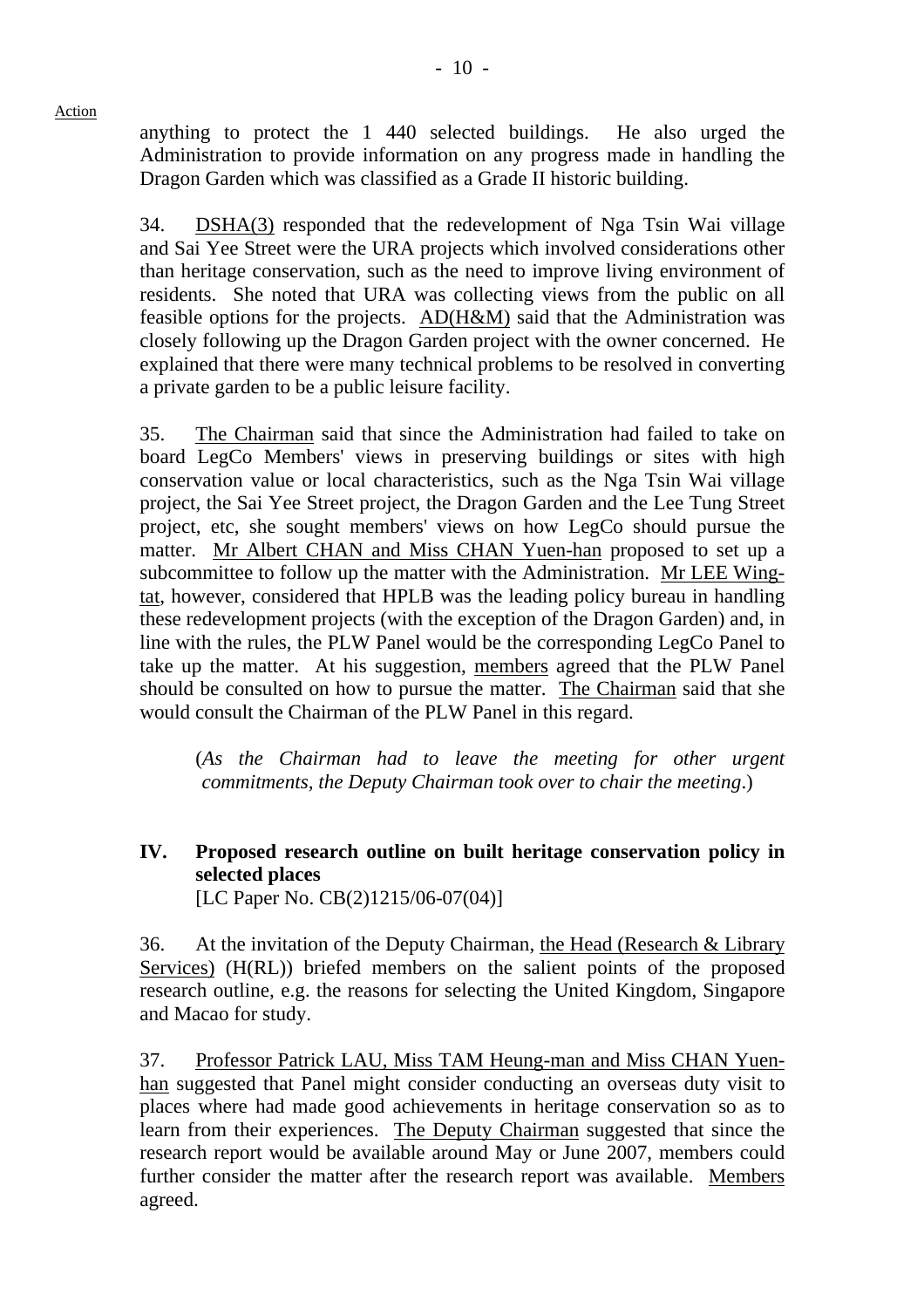anything to protect the 1 440 selected buildings. He also urged the Administration to provide information on any progress made in handling the Dragon Garden which was classified as a Grade II historic building.

34. DSHA(3) responded that the redevelopment of Nga Tsin Wai village and Sai Yee Street were the URA projects which involved considerations other than heritage conservation, such as the need to improve living environment of residents. She noted that URA was collecting views from the public on all feasible options for the projects. AD(H&M) said that the Administration was closely following up the Dragon Garden project with the owner concerned. He explained that there were many technical problems to be resolved in converting a private garden to be a public leisure facility.

35. The Chairman said that since the Administration had failed to take on board LegCo Members' views in preserving buildings or sites with high conservation value or local characteristics, such as the Nga Tsin Wai village project, the Sai Yee Street project, the Dragon Garden and the Lee Tung Street project, etc, she sought members' views on how LegCo should pursue the matter. Mr Albert CHAN and Miss CHAN Yuen-han proposed to set up a subcommittee to follow up the matter with the Administration. Mr LEE Wingtat, however, considered that HPLB was the leading policy bureau in handling these redevelopment projects (with the exception of the Dragon Garden) and, in line with the rules, the PLW Panel would be the corresponding LegCo Panel to take up the matter. At his suggestion, members agreed that the PLW Panel should be consulted on how to pursue the matter. The Chairman said that she would consult the Chairman of the PLW Panel in this regard.

(*As the Chairman had to leave the meeting for other urgent commitments, the Deputy Chairman took over to chair the meeting*.)

## **IV. Proposed research outline on built heritage conservation policy in selected places**

[LC Paper No. CB(2)1215/06-07(04)]

36. At the invitation of the Deputy Chairman, the Head (Research & Library Services) (H(RL)) briefed members on the salient points of the proposed research outline, e.g. the reasons for selecting the United Kingdom, Singapore and Macao for study.

37. Professor Patrick LAU, Miss TAM Heung-man and Miss CHAN Yuenhan suggested that Panel might consider conducting an overseas duty visit to places where had made good achievements in heritage conservation so as to learn from their experiences. The Deputy Chairman suggested that since the research report would be available around May or June 2007, members could further consider the matter after the research report was available. Members agreed.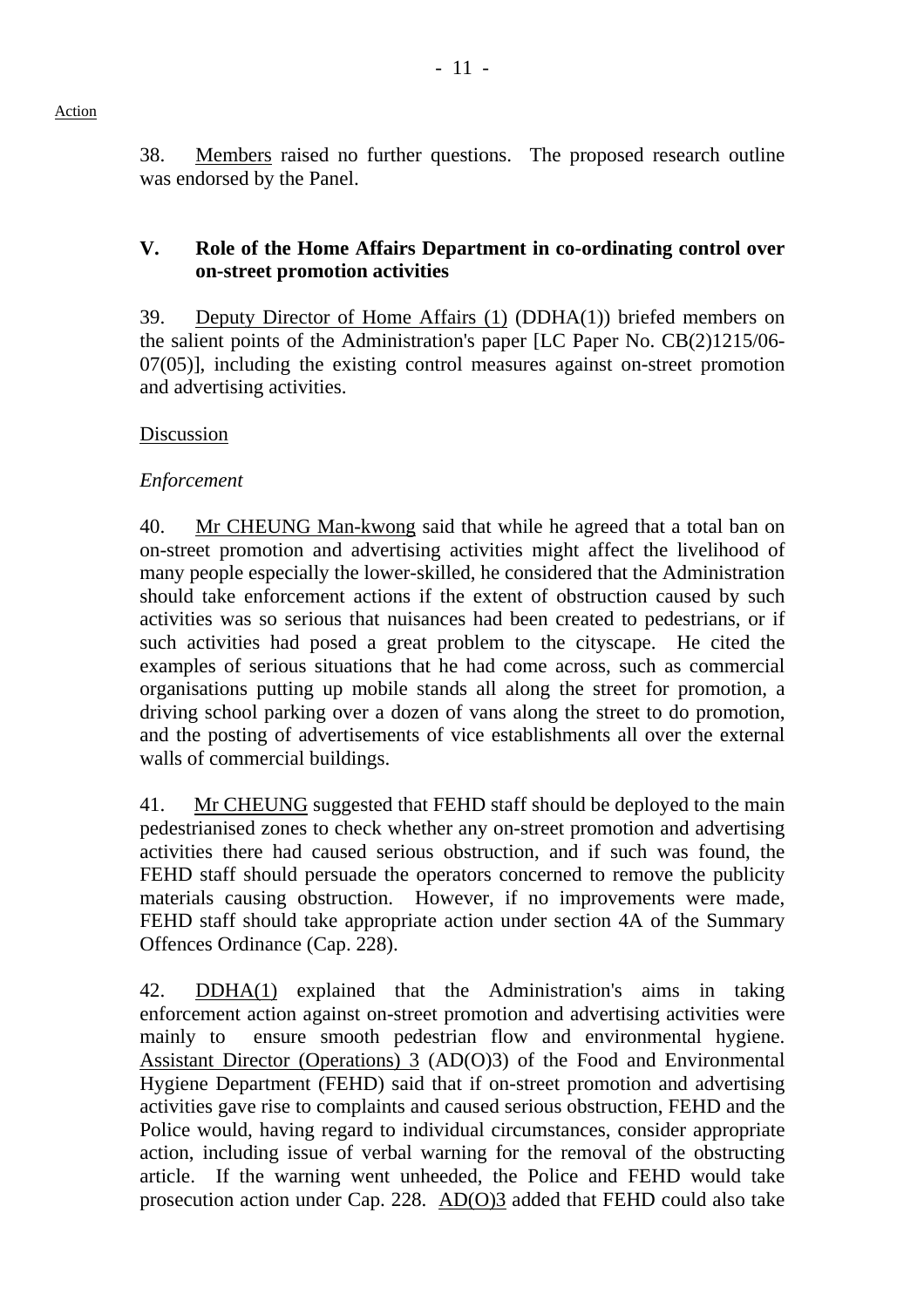38. Members raised no further questions. The proposed research outline was endorsed by the Panel.

## **V. Role of the Home Affairs Department in co-ordinating control over on-street promotion activities**

39. Deputy Director of Home Affairs (1) (DDHA(1)) briefed members on the salient points of the Administration's paper [LC Paper No. CB(2)1215/06- 07(05)], including the existing control measures against on-street promotion and advertising activities.

## Discussion

## *Enforcement*

40. Mr CHEUNG Man-kwong said that while he agreed that a total ban on on-street promotion and advertising activities might affect the livelihood of many people especially the lower-skilled, he considered that the Administration should take enforcement actions if the extent of obstruction caused by such activities was so serious that nuisances had been created to pedestrians, or if such activities had posed a great problem to the cityscape. He cited the examples of serious situations that he had come across, such as commercial organisations putting up mobile stands all along the street for promotion, a driving school parking over a dozen of vans along the street to do promotion, and the posting of advertisements of vice establishments all over the external walls of commercial buildings.

41. Mr CHEUNG suggested that FEHD staff should be deployed to the main pedestrianised zones to check whether any on-street promotion and advertising activities there had caused serious obstruction, and if such was found, the FEHD staff should persuade the operators concerned to remove the publicity materials causing obstruction. However, if no improvements were made, FEHD staff should take appropriate action under section 4A of the Summary Offences Ordinance (Cap. 228).

42. DDHA(1) explained that the Administration's aims in taking enforcement action against on-street promotion and advertising activities were mainly to ensure smooth pedestrian flow and environmental hygiene. Assistant Director (Operations) 3 (AD(O)3) of the Food and Environmental Hygiene Department (FEHD) said that if on-street promotion and advertising activities gave rise to complaints and caused serious obstruction, FEHD and the Police would, having regard to individual circumstances, consider appropriate action, including issue of verbal warning for the removal of the obstructing article. If the warning went unheeded, the Police and FEHD would take prosecution action under Cap. 228. AD(O)3 added that FEHD could also take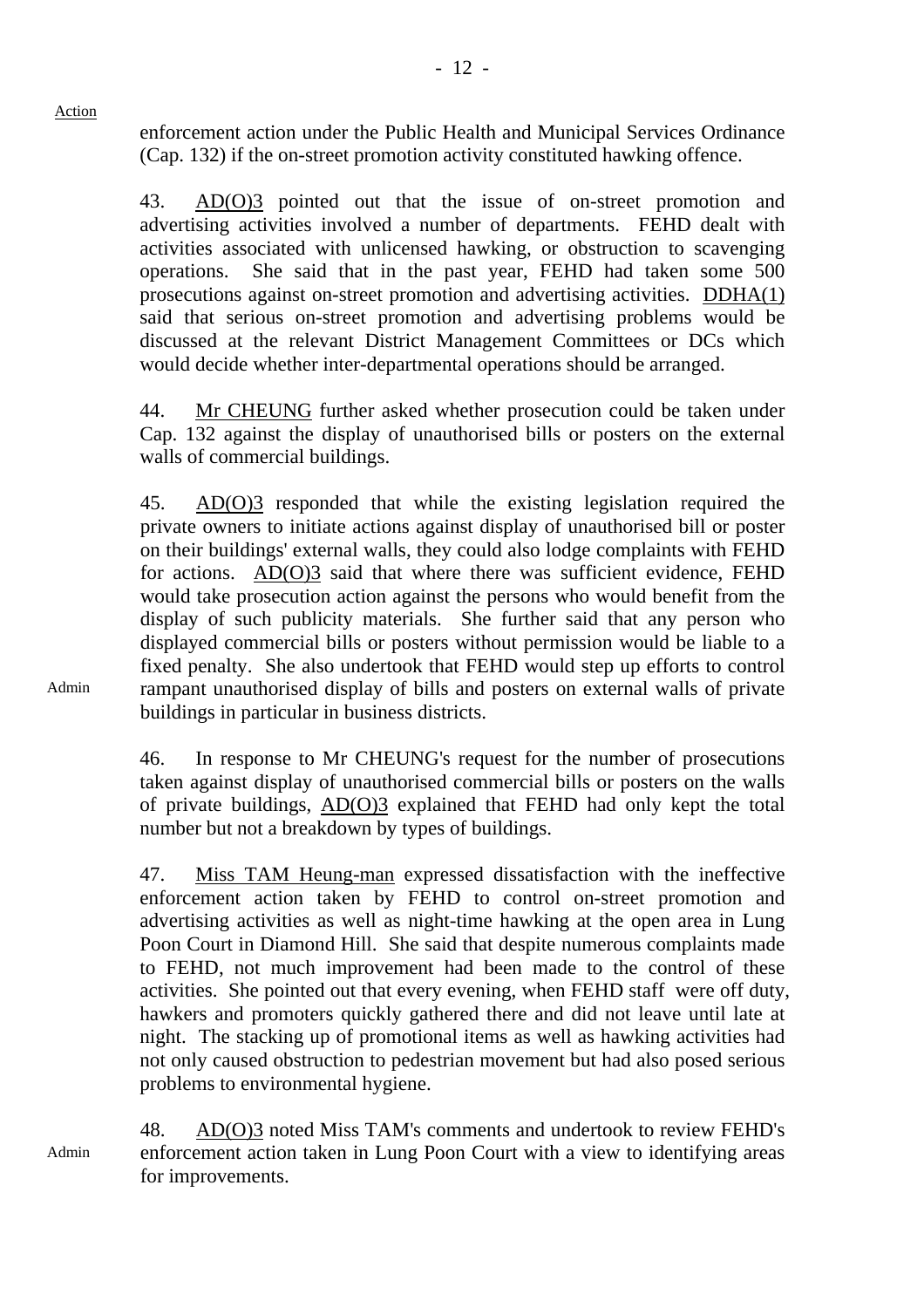enforcement action under the Public Health and Municipal Services Ordinance (Cap. 132) if the on-street promotion activity constituted hawking offence.

43. AD(O)3 pointed out that the issue of on-street promotion and advertising activities involved a number of departments. FEHD dealt with activities associated with unlicensed hawking, or obstruction to scavenging operations. She said that in the past year, FEHD had taken some 500 prosecutions against on-street promotion and advertising activities. DDHA(1) said that serious on-street promotion and advertising problems would be discussed at the relevant District Management Committees or DCs which would decide whether inter-departmental operations should be arranged.

44. Mr CHEUNG further asked whether prosecution could be taken under Cap. 132 against the display of unauthorised bills or posters on the external walls of commercial buildings.

45. AD(O)3 responded that while the existing legislation required the private owners to initiate actions against display of unauthorised bill or poster on their buildings' external walls, they could also lodge complaints with FEHD for actions. AD(O)3 said that where there was sufficient evidence, FEHD would take prosecution action against the persons who would benefit from the display of such publicity materials. She further said that any person who displayed commercial bills or posters without permission would be liable to a fixed penalty. She also undertook that FEHD would step up efforts to control rampant unauthorised display of bills and posters on external walls of private buildings in particular in business districts.

46. In response to Mr CHEUNG's request for the number of prosecutions taken against display of unauthorised commercial bills or posters on the walls of private buildings, AD(O)3 explained that FEHD had only kept the total number but not a breakdown by types of buildings.

47. Miss TAM Heung-man expressed dissatisfaction with the ineffective enforcement action taken by FEHD to control on-street promotion and advertising activities as well as night-time hawking at the open area in Lung Poon Court in Diamond Hill. She said that despite numerous complaints made to FEHD, not much improvement had been made to the control of these activities. She pointed out that every evening, when FEHD staff were off duty, hawkers and promoters quickly gathered there and did not leave until late at night. The stacking up of promotional items as well as hawking activities had not only caused obstruction to pedestrian movement but had also posed serious problems to environmental hygiene.

Admin 48. AD(O)3 noted Miss TAM's comments and undertook to review FEHD's enforcement action taken in Lung Poon Court with a view to identifying areas for improvements.

Admin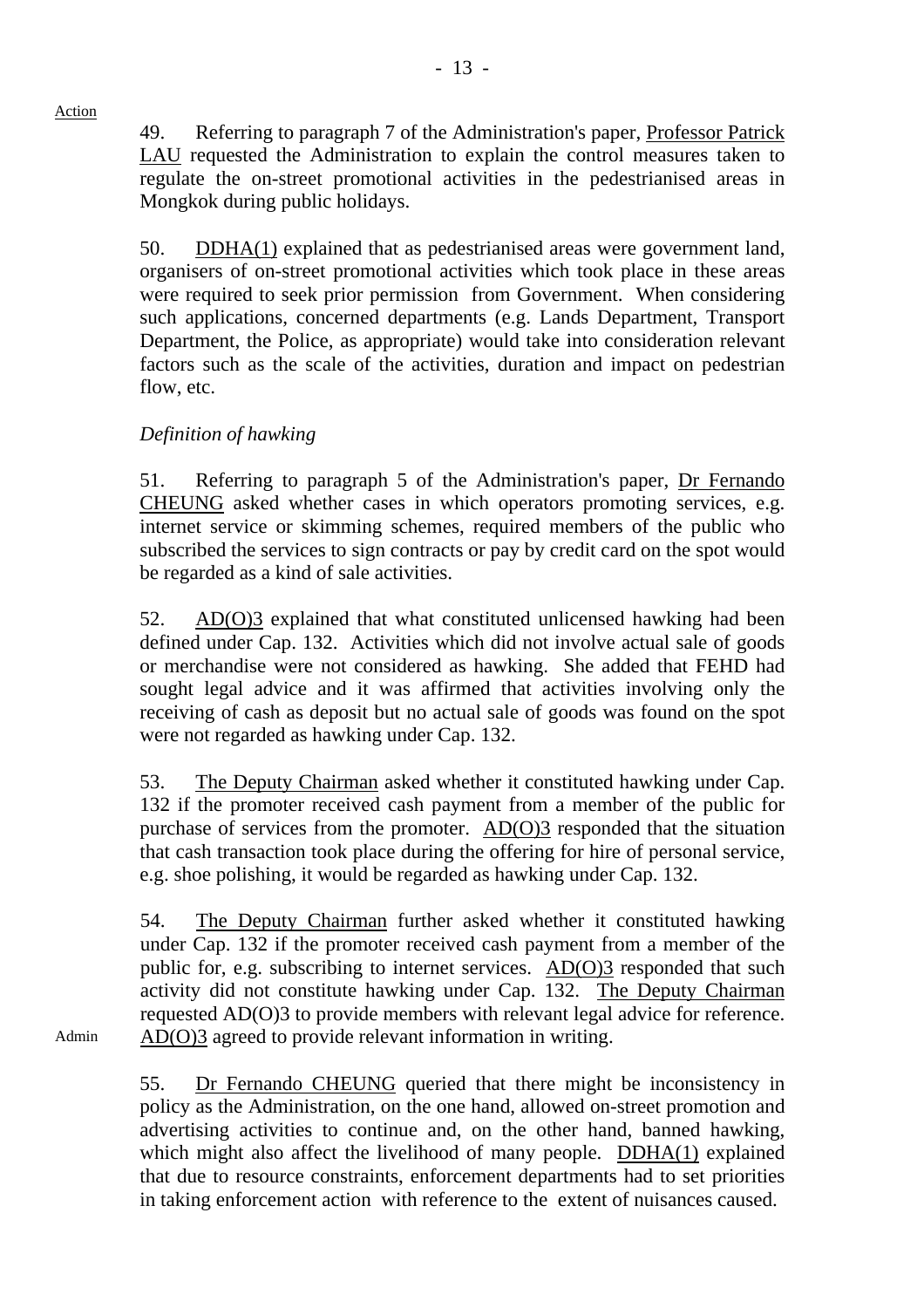49. Referring to paragraph 7 of the Administration's paper, Professor Patrick LAU requested the Administration to explain the control measures taken to regulate the on-street promotional activities in the pedestrianised areas in Mongkok during public holidays.

50. DDHA(1) explained that as pedestrianised areas were government land, organisers of on-street promotional activities which took place in these areas were required to seek prior permission from Government. When considering such applications, concerned departments (e.g. Lands Department, Transport Department, the Police, as appropriate) would take into consideration relevant factors such as the scale of the activities, duration and impact on pedestrian flow, etc.

## *Definition of hawking*

51. Referring to paragraph 5 of the Administration's paper, Dr Fernando CHEUNG asked whether cases in which operators promoting services, e.g. internet service or skimming schemes, required members of the public who subscribed the services to sign contracts or pay by credit card on the spot would be regarded as a kind of sale activities.

52. AD(O)3 explained that what constituted unlicensed hawking had been defined under Cap. 132. Activities which did not involve actual sale of goods or merchandise were not considered as hawking. She added that FEHD had sought legal advice and it was affirmed that activities involving only the receiving of cash as deposit but no actual sale of goods was found on the spot were not regarded as hawking under Cap. 132.

53. The Deputy Chairman asked whether it constituted hawking under Cap. 132 if the promoter received cash payment from a member of the public for purchase of services from the promoter. AD(O)3 responded that the situation that cash transaction took place during the offering for hire of personal service, e.g. shoe polishing, it would be regarded as hawking under Cap. 132.

54. The Deputy Chairman further asked whether it constituted hawking under Cap. 132 if the promoter received cash payment from a member of the public for, e.g. subscribing to internet services.  $AD(O)3$  responded that such activity did not constitute hawking under Cap. 132. The Deputy Chairman requested AD(O)3 to provide members with relevant legal advice for reference. AD(O)3 agreed to provide relevant information in writing.

Admin

55. Dr Fernando CHEUNG queried that there might be inconsistency in policy as the Administration, on the one hand, allowed on-street promotion and advertising activities to continue and, on the other hand, banned hawking, which might also affect the livelihood of many people. DDHA(1) explained that due to resource constraints, enforcement departments had to set priorities in taking enforcement action with reference to the extent of nuisances caused.